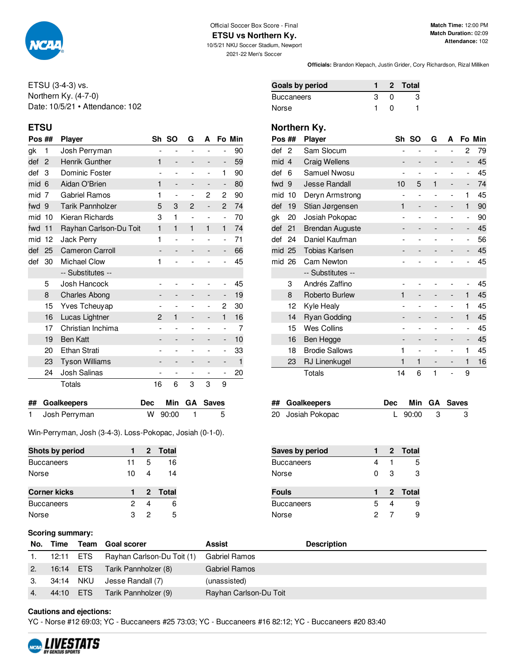

#### Official Soccer Box Score - Final **ETSU vs Northern Ky.**

10/5/21 NKU Soccer Stadium, Newport 2021-22 Men's Soccer

**Match Time:** 12:00 PM **Match Duration:** 02:09 **Attendance:** 102

**Officials:** Brandon Klepach, Justin Grider, Cory Richardson, Rizal Milliken

ETSU (3-4-3) vs. Northern Ky. (4-7-0) Date: 10/5/21 • Attendance: 102

| Pos ## |                | <b>Player</b>           |                          | Sh SO                    | G                        | A                        |                          | Fo Min |
|--------|----------------|-------------------------|--------------------------|--------------------------|--------------------------|--------------------------|--------------------------|--------|
| gk     | 1              | Josh Perryman           | $\overline{\phantom{0}}$ | L,                       | $\overline{a}$           |                          | $\overline{a}$           | 90     |
| def    | 2              | <b>Henrik Gunther</b>   | 1                        | -                        |                          | -                        | -                        | 59     |
| def    | 3              | Dominic Foster          |                          | ۰                        |                          | $\overline{\phantom{a}}$ | 1                        | 90     |
| mid    | 6              | Aidan O'Brien           | 1                        | $\qquad \qquad -$        |                          | -                        | $\overline{a}$           | 80     |
| mid    | $\overline{7}$ | Gabriel Ramos           | 1                        | L,                       | $\overline{a}$           | 2                        | $\overline{2}$           | 90     |
| fwd    | 9              | <b>Tarik Pannholzer</b> | 5                        | 3                        | 2                        | -                        | $\overline{2}$           | 74     |
| mid    | 10             | Kieran Richards         | 3                        | 1                        | $\overline{\phantom{a}}$ | $\overline{\phantom{0}}$ | $\overline{\phantom{0}}$ | 70     |
| fwd    | 11             | Rayhan Carlson-Du Toit  | $\mathbf{1}$             | $\mathbf{1}$             | 1                        | $\mathbf{1}$             | $\mathbf{1}$             | 74     |
| mid    | 12             | Jack Perry              | 1                        | $\overline{\phantom{0}}$ | $\overline{a}$           | $\overline{\phantom{0}}$ | $\overline{a}$           | 71     |
| def    | 25             | <b>Cameron Carroll</b>  |                          | $\qquad \qquad -$        |                          | -                        | -                        | 66     |
| def    | 30             | <b>Michael Clow</b>     | 1                        |                          |                          |                          | $\overline{a}$           | 45     |
|        |                | -- Substitutes --       |                          |                          |                          |                          |                          |        |
|        | 5              | Josh Hancock            |                          |                          |                          |                          | -                        | 45     |
|        | 8              | <b>Charles Abong</b>    |                          | -                        |                          | -                        | -                        | 19     |
|        | 15             | Yves Tcheuyap           | $\overline{\phantom{0}}$ | $\overline{\phantom{0}}$ |                          | $\overline{\phantom{0}}$ | 2                        | 30     |
|        | 16             | Lucas Lightner          | 2                        | 1                        |                          | -                        | 1                        | 16     |
|        | 17             | Christian Inchima       |                          |                          |                          |                          | $\overline{\phantom{0}}$ | 7      |
|        | 19             | <b>Ben Katt</b>         |                          | -                        |                          | -                        | -                        | 10     |
|        | 20             | <b>Ethan Strati</b>     |                          | $\overline{\phantom{0}}$ |                          | $\overline{a}$           | $\overline{\phantom{0}}$ | 33     |
|        | 23             | <b>Tyson Williams</b>   |                          | -                        |                          | -                        | -                        | 1      |
|        | 24             | Josh Salinas            | $\overline{\phantom{0}}$ | $\overline{\phantom{0}}$ | $\overline{a}$           | $\overline{\phantom{a}}$ | $\overline{\phantom{0}}$ | 20     |
|        |                | Totals                  | 16                       | 6                        | 3                        | 3                        | 9                        |        |
|        |                |                         |                          |                          |                          |                          |                          |        |

| ## Goalkeepers  |           | Dec Min GA Saves |
|-----------------|-----------|------------------|
| 1 Josh Perryman | W 90:00 1 | -5               |

Win-Perryman, Josh (3-4-3). Loss-Pokopac, Josiah (0-1-0).

| Shots by period     |    |   | 2 Total |
|---------------------|----|---|---------|
| <b>Buccaneers</b>   | 11 | 5 | 16      |
| Norse               | 10 | 4 | 14      |
|                     |    |   |         |
|                     |    |   |         |
| <b>Corner kicks</b> |    |   | 2 Total |
| <b>Buccaneers</b>   | 2  |   |         |

| Goals by period |   |              | 2 Total |
|-----------------|---|--------------|---------|
| Buccaneers      | з | $\Omega$     | 3       |
| Norse           |   | $\mathbf{U}$ |         |

# **ETSU Northern Ky.**

| Pos ## |                | <b>Player</b>          | Sh             | <b>SO</b>      | G | A                        |                          | Fo Min |
|--------|----------------|------------------------|----------------|----------------|---|--------------------------|--------------------------|--------|
| def    | 2              | Sam Slocum             |                |                |   |                          | 2                        | 79     |
| mid    | $\overline{4}$ | <b>Craig Wellens</b>   |                |                |   | -                        | -                        | 45     |
| def    | 6              | Samuel Nwosu           | $\overline{a}$ | -              |   | -                        | -                        | 45     |
| fwd    | 9              | <b>Jesse Randall</b>   | 10             | 5              | 1 | -                        | -                        | 74     |
| mid    | 10             | Deryn Armstrong        | $\overline{a}$ | $\overline{a}$ |   | $\overline{\phantom{0}}$ | 1                        | 45     |
| def    | 19             | Stian Jørgensen        | 1              |                |   | -                        | 1                        | 90     |
| gk     | 20             | Josiah Pokopac         |                |                |   | $\overline{a}$           | $\overline{\phantom{0}}$ | 90     |
| def    | 21             | <b>Brendan Auguste</b> |                |                |   | -                        | -                        | 45     |
| def    | 24             | Daniel Kaufman         |                |                |   |                          | -                        | 56     |
| mid 25 |                | <b>Tobias Karlsen</b>  |                |                |   |                          | -                        | 45     |
| mid 26 |                | Cam Newton             |                |                |   |                          |                          | 45     |
|        |                | -- Substitutes --      |                |                |   |                          |                          |        |
|        | 3              | Andrés Zaffino         |                |                |   |                          |                          | 45     |
|        | 8              | Roberto Burlew         | 1              |                |   | -                        | 1                        | 45     |
|        | 12             | Kyle Healy             |                |                |   | $\overline{a}$           | 1                        | 45     |
|        | 14             | <b>Ryan Godding</b>    |                |                |   | -                        | $\mathbf{1}$             | 45     |
|        | 15             | <b>Wes Collins</b>     | $\overline{a}$ | $\overline{a}$ |   | -                        | -                        | 45     |
|        | 16             | Ben Hegge              |                | -              |   | -                        | -                        | 45     |
|        | 18             | <b>Brodie Sallows</b>  | 1              | $\overline{a}$ |   | $\overline{a}$           | 1                        | 45     |
|        | 23             | RJ Linenkugel          | 1              | 1              |   | -                        | 1                        | 16     |
|        |                | Totals                 | 14             | 6              | 1 | $\overline{\phantom{0}}$ | 9                        |        |

| ## Goalkeepers    |             | Dec Min GA Saves |
|-------------------|-------------|------------------|
| 20 Josiah Pokopac | L $90:00$ 3 | - 3              |

| Saves by period   |   |   | 2 Total |
|-------------------|---|---|---------|
| <b>Buccaneers</b> | 4 |   | 5       |
| Norse             | ŋ | З | 3       |
|                   |   |   |         |
|                   |   |   |         |
| <b>Fouls</b>      |   |   | 2 Total |
| <b>Buccaneers</b> | 5 |   | 9       |

### **Scoring summary:**

| No. | Time      | Team | <b>Goal scorer</b>         | <b>Assist</b>          | <b>Description</b> |
|-----|-----------|------|----------------------------|------------------------|--------------------|
|     | 12:11     | ETS  | Rayhan Carlson-Du Toit (1) | Gabriel Ramos          |                    |
|     | 16:14 ETS |      | Tarik Pannholzer (8)       | <b>Gabriel Ramos</b>   |                    |
|     | 34:14 NKU |      | Jesse Randall (7)          | (unassisted)           |                    |
|     | 44:10 ETS |      | Tarik Pannholzer (9)       | Rayhan Carlson-Du Toit |                    |

## **Cautions and ejections:**

YC - Norse #12 69:03; YC - Buccaneers #25 73:03; YC - Buccaneers #16 82:12; YC - Buccaneers #20 83:40

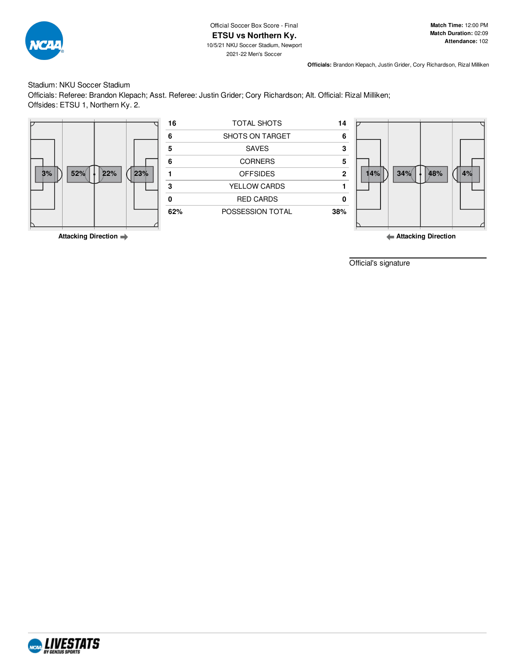

## Stadium: NKU Soccer Stadium

Officials: Referee: Brandon Klepach; Asst. Referee: Justin Grider; Cory Richardson; Alt. Official: Rizal Milliken; Offsides: ETSU 1, Northern Ky. 2.



**Attacking Direction**

Official's signature

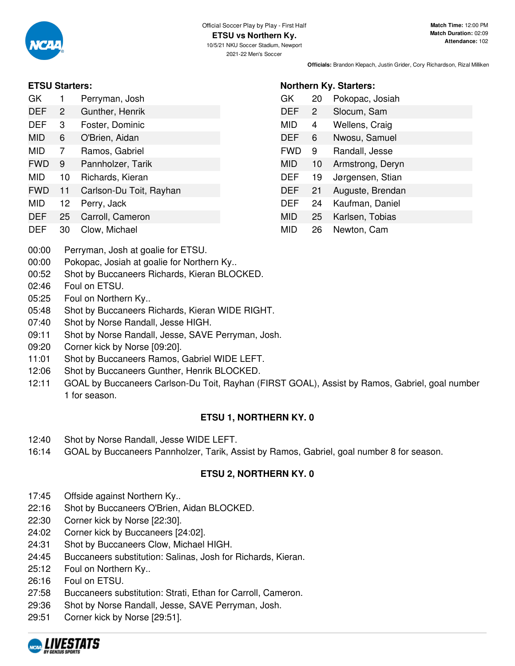

**Northern Ky. Starters:**

GK 20 Pokopac, Josiah DEF 2 Slocum, Sam MID 4 Wellens, Craig DEF 6 Nwosu, Samuel FWD 9 Randall, Jesse MID 10 Armstrong, Deryn DEF 19 Jørgensen, Stian DEF 21 Auguste, Brendan DEF 24 Kaufman, Daniel MID 25 Karlsen, Tobias MID 26 Newton, Cam

# **ETSU Starters:**

| GK         | 1  | Perryman, Josh          |
|------------|----|-------------------------|
| DEF        | 2  | Gunther, Henrik         |
| <b>DEF</b> | 3  | Foster, Dominic         |
| MID        | 6  | O'Brien, Aidan          |
| MID        | 7  | Ramos, Gabriel          |
| <b>FWD</b> | 9  | Pannholzer, Tarik       |
| MID        | 10 | Richards, Kieran        |
| <b>FWD</b> | 11 | Carlson-Du Toit, Rayhan |
| MID        | 12 | Perry, Jack             |
| DFF        | 25 | Carroll, Cameron        |

- DEF 30 Clow, Michael
- 00:00 Perryman, Josh at goalie for ETSU.
- 00:00 Pokopac, Josiah at goalie for Northern Ky..
- 00:52 Shot by Buccaneers Richards, Kieran BLOCKED.
- 02:46 Foul on ETSU.
- 05:25 Foul on Northern Ky..
- 05:48 Shot by Buccaneers Richards, Kieran WIDE RIGHT.
- 07:40 Shot by Norse Randall, Jesse HIGH.
- 09:11 Shot by Norse Randall, Jesse, SAVE Perryman, Josh.
- 09:20 Corner kick by Norse [09:20].
- 11:01 Shot by Buccaneers Ramos, Gabriel WIDE LEFT.
- 12:06 Shot by Buccaneers Gunther, Henrik BLOCKED.
- 12:11 GOAL by Buccaneers Carlson-Du Toit, Rayhan (FIRST GOAL), Assist by Ramos, Gabriel, goal number 1 for season.

# **ETSU 1, NORTHERN KY. 0**

- 12:40 Shot by Norse Randall, Jesse WIDE LEFT.
- 16:14 GOAL by Buccaneers Pannholzer, Tarik, Assist by Ramos, Gabriel, goal number 8 for season.

# **ETSU 2, NORTHERN KY. 0**

- 17:45 Offside against Northern Ky..
- 22:16 Shot by Buccaneers O'Brien, Aidan BLOCKED.
- 22:30 Corner kick by Norse [22:30].
- 24:02 Corner kick by Buccaneers [24:02].
- 24:31 Shot by Buccaneers Clow, Michael HIGH.
- 24:45 Buccaneers substitution: Salinas, Josh for Richards, Kieran.
- 25:12 Foul on Northern Ky..
- 26:16 Foul on ETSU.
- 27:58 Buccaneers substitution: Strati, Ethan for Carroll, Cameron.
- 29:36 Shot by Norse Randall, Jesse, SAVE Perryman, Josh.
- 29:51 Corner kick by Norse [29:51].

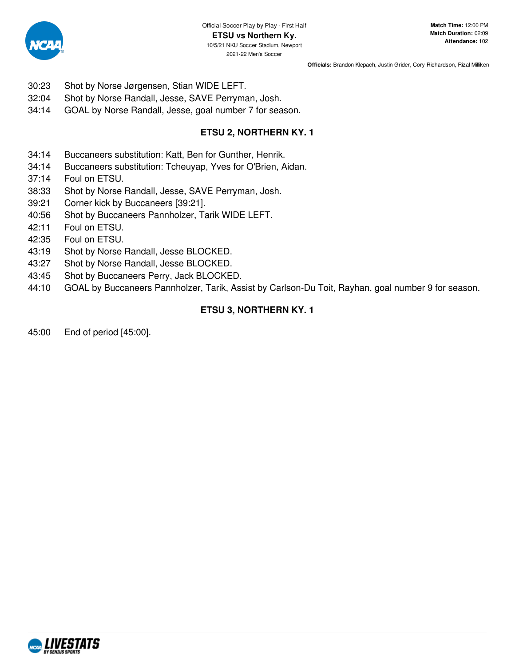

- 30:23 Shot by Norse Jørgensen, Stian WIDE LEFT.
- 32:04 Shot by Norse Randall, Jesse, SAVE Perryman, Josh.
- 34:14 GOAL by Norse Randall, Jesse, goal number 7 for season.

# **ETSU 2, NORTHERN KY. 1**

- 34:14 Buccaneers substitution: Katt, Ben for Gunther, Henrik.
- 34:14 Buccaneers substitution: Tcheuyap, Yves for O'Brien, Aidan.
- 37:14 Foul on ETSU.
- 38:33 Shot by Norse Randall, Jesse, SAVE Perryman, Josh.
- 39:21 Corner kick by Buccaneers [39:21].
- 40:56 Shot by Buccaneers Pannholzer, Tarik WIDE LEFT.
- 42:11 Foul on ETSU.
- 42:35 Foul on ETSU.
- 43:19 Shot by Norse Randall, Jesse BLOCKED.
- 43:27 Shot by Norse Randall, Jesse BLOCKED.
- 43:45 Shot by Buccaneers Perry, Jack BLOCKED.
- 44:10 GOAL by Buccaneers Pannholzer, Tarik, Assist by Carlson-Du Toit, Rayhan, goal number 9 for season.

# **ETSU 3, NORTHERN KY. 1**

45:00 End of period [45:00].

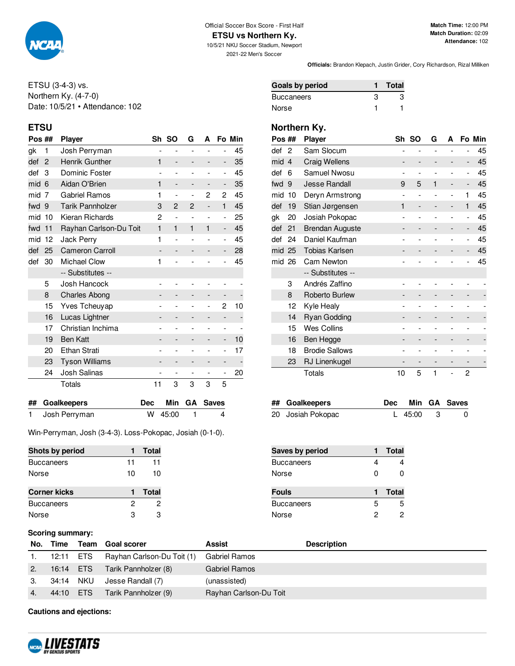

# Official Soccer Box Score - First Half

**ETSU vs Northern Ky.** 10/5/21 NKU Soccer Stadium, Newport

2021-22 Men's Soccer

**Officials:** Brandon Klepach, Justin Grider, Cory Richardson, Rizal Milliken

ETSU (3-4-3) vs. Northern Ky. (4-7-0) Date: 10/5/21 • Attendance: 102

| Pos ## |                | <b>Player</b>           |                          | Sh SO                    | G                        | A                        |                          | Fo Min |
|--------|----------------|-------------------------|--------------------------|--------------------------|--------------------------|--------------------------|--------------------------|--------|
| gk     | 1              | Josh Perryman           | $\overline{\phantom{0}}$ | $\overline{a}$           | $\overline{a}$           |                          | $\overline{a}$           | 45     |
| def    | 2              | <b>Henrik Gunther</b>   | $\mathbf{1}$             | -                        |                          | -                        | -                        | 35     |
| def    | 3              | Dominic Foster          |                          | $\overline{\phantom{0}}$ |                          | $\overline{a}$           | $\overline{\phantom{0}}$ | 45     |
| mid    | 6              | Aidan O'Brien           | 1                        | $\qquad \qquad -$        |                          |                          | -                        | 35     |
| mid    | $\overline{7}$ | Gabriel Ramos           | 1                        | L,                       | $\overline{a}$           | 2                        | 2                        | 45     |
| fwd    | 9              | <b>Tarik Pannholzer</b> | 3                        | $\overline{2}$           | 2                        |                          | $\mathbf{1}$             | 45     |
| mid    | 10             | Kieran Richards         | 2                        | $\overline{\phantom{0}}$ |                          | $\overline{\phantom{a}}$ | $\overline{\phantom{0}}$ | 25     |
| fwd    | 11             | Rayhan Carlson-Du Toit  | $\mathbf{1}$             | 1                        | $\mathbf{1}$             | $\mathbf{1}$             | $\overline{\phantom{0}}$ | 45     |
| mid    | 12             | Jack Perry              | 1                        | $\overline{\phantom{0}}$ |                          | ۰                        | $\overline{\phantom{0}}$ | 45     |
| def    | 25             | <b>Cameron Carroll</b>  |                          | -                        |                          | -                        | -                        | 28     |
| def    | 30             | <b>Michael Clow</b>     | 1                        |                          |                          |                          |                          | 45     |
|        |                | -- Substitutes --       |                          |                          |                          |                          |                          |        |
|        | 5              | Josh Hancock            |                          |                          |                          |                          |                          |        |
|        | 8              | <b>Charles Abong</b>    |                          | -                        |                          | -                        |                          |        |
|        | 15             | Yves Tcheuyap           |                          |                          |                          | -                        | 2                        | 10     |
|        | 16             | Lucas Lightner          |                          |                          |                          | -                        |                          |        |
|        | 17             | Christian Inchima       |                          | $\overline{\phantom{0}}$ |                          |                          | $\overline{\phantom{0}}$ |        |
|        | 19             | <b>Ben Katt</b>         |                          |                          |                          |                          | -                        | 10     |
|        | 20             | <b>Ethan Strati</b>     |                          |                          |                          |                          | $\overline{\phantom{0}}$ | 17     |
|        | 23             | <b>Tyson Williams</b>   |                          | -                        |                          |                          | -                        |        |
|        | 24             | Josh Salinas            | $\overline{\phantom{0}}$ | $\overline{\phantom{m}}$ | $\overline{\phantom{m}}$ | $\overline{\phantom{0}}$ | $\overline{\phantom{0}}$ | 20     |
|        |                | Totals                  | 11                       | 3                        | 3                        | 3                        | 5                        |        |
|        |                |                         |                          |                          |                          |                          |                          |        |

| ## Goalkeepers  |           | Dec Min GA Saves |
|-----------------|-----------|------------------|
| 1 Josh Perryman | W 45:00 1 |                  |

Win-Perryman, Josh (3-4-3). Loss-Pokopac, Josiah (0-1-0).

| Shots by period     |    | Total |
|---------------------|----|-------|
| <b>Buccaneers</b>   | 11 | 11    |
| Norse               | 10 | 10    |
|                     |    | Total |
| <b>Corner kicks</b> |    |       |
| <b>Buccaneers</b>   | 2  | 2     |
| Norse               | З  | З     |

| Goals by period | <b>Total</b> |
|-----------------|--------------|
| Buccaneers      | З            |
| Norse           |              |

# **ETSU Northern Ky.**

| Pos ## |                | <b>Player</b>          | Sh             | <b>SO</b>      | G            | A              |                | Fo Min |
|--------|----------------|------------------------|----------------|----------------|--------------|----------------|----------------|--------|
| def    | $\overline{2}$ | Sam Slocum             |                |                |              |                |                | 45     |
| mid    | $\overline{4}$ | <b>Craig Wellens</b>   |                |                |              |                | -              | 45     |
| def    | 6              | Samuel Nwosu           | -              |                |              |                | -              | 45     |
| fwd    | 9              | <b>Jesse Randall</b>   | 9              | 5              | $\mathbf{1}$ | -              | -              | 45     |
| mid    | 10             | Deryn Armstrong        | $\overline{a}$ | $\overline{a}$ |              | $\overline{a}$ | 1              | 45     |
| def    | 19             | Stian Jørgensen        | 1              |                |              |                | 1              | 45     |
| gk     | 20             | Josiah Pokopac         |                |                |              |                | $\overline{a}$ | 45     |
| def    | 21             | <b>Brendan Auguste</b> |                |                |              |                | -              | 45     |
| def    | 24             | Daniel Kaufman         |                |                |              |                | $\overline{a}$ | 45     |
| mid 25 |                | <b>Tobias Karlsen</b>  |                |                |              |                | -              | 45     |
| mid 26 |                | Cam Newton             |                |                |              |                |                | 45     |
|        |                | -- Substitutes --      |                |                |              |                |                |        |
|        | 3              | Andrés Zaffino         |                |                |              |                |                |        |
|        | 8              | Roberto Burlew         |                |                |              |                |                |        |
|        | 12             | Kyle Healy             |                |                |              |                |                |        |
|        | 14             | <b>Ryan Godding</b>    |                |                |              |                |                |        |
|        | 15             | Wes Collins            |                |                |              |                |                |        |
|        | 16             | Ben Hegge              |                |                |              |                |                |        |
|        | 18             | <b>Brodie Sallows</b>  |                |                |              |                |                |        |
|        | 23             | RJ Linenkugel          |                |                |              |                |                |        |
|        |                | Totals                 | 10             | 5              | 1            |                | 2              |        |

| ## Goalkeepers    |             | Dec Min GA Saves |
|-------------------|-------------|------------------|
| 20 Josiah Pokopac | L $45:00$ 3 |                  |

| Saves by period   |   | <b>Total</b> |
|-------------------|---|--------------|
| <b>Buccaneers</b> |   |              |
| Norse             | ŋ | n            |
| <b>Fouls</b>      |   | <b>Total</b> |
|                   |   |              |
| <b>Buccaneers</b> | 5 | 5            |

### **Scoring summary:**

| No. | Time      |     | Team Goal scorer           | Assist                 | <b>Description</b> |
|-----|-----------|-----|----------------------------|------------------------|--------------------|
|     | 12:11     | ETS | Rayhan Carlson-Du Toit (1) | Gabriel Ramos          |                    |
|     | 16:14 ETS |     | Tarik Pannholzer (8)       | <b>Gabriel Ramos</b>   |                    |
| З.  | 34:14 NKU |     | Jesse Randall (7)          | (unassisted)           |                    |
| 4.  | 44:10     | ETS | Tarik Pannholzer (9)       | Rayhan Carlson-Du Toit |                    |

**Cautions and ejections:**

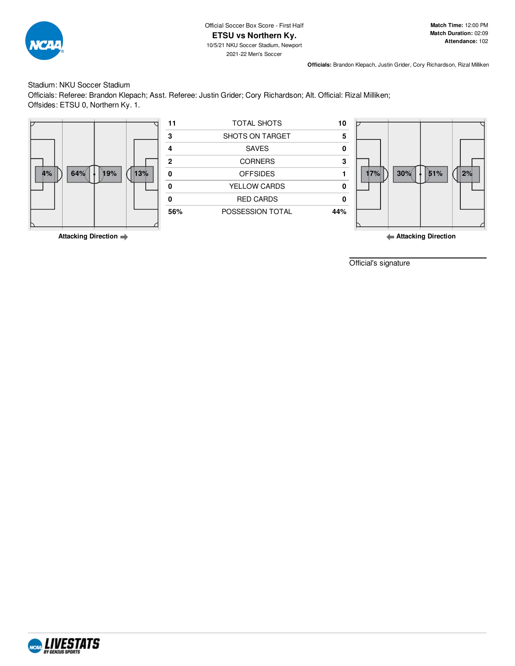

**Match Time:** 12:00 PM **Match Duration:** 02:09 **Attendance:** 102

**Officials:** Brandon Klepach, Justin Grider, Cory Richardson, Rizal Milliken

### Stadium: NKU Soccer Stadium

Officials: Referee: Brandon Klepach; Asst. Referee: Justin Grider; Cory Richardson; Alt. Official: Rizal Milliken; Offsides: ETSU 0, Northern Ky. 1.



**Attacking Direction**

Official's signature

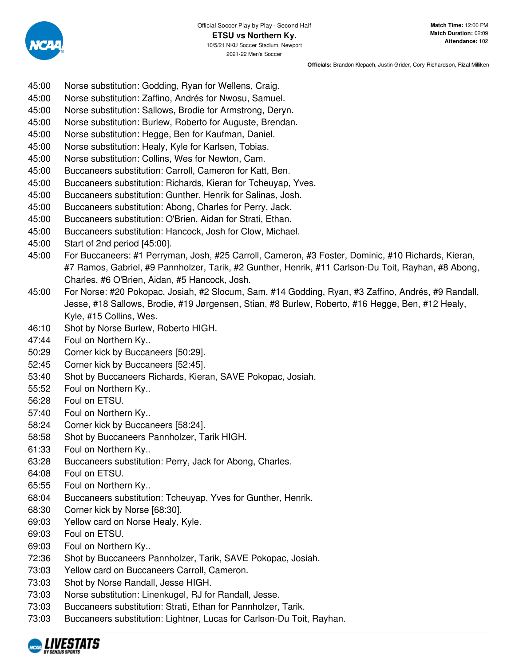- 45:00 Norse substitution: Godding, Ryan for Wellens, Craig.
- 45:00 Norse substitution: Zaffino, Andrés for Nwosu, Samuel.
- 45:00 Norse substitution: Sallows, Brodie for Armstrong, Deryn.
- 45:00 Norse substitution: Burlew, Roberto for Auguste, Brendan.
- 45:00 Norse substitution: Hegge, Ben for Kaufman, Daniel.
- 45:00 Norse substitution: Healy, Kyle for Karlsen, Tobias.
- 45:00 Norse substitution: Collins, Wes for Newton, Cam.
- 45:00 Buccaneers substitution: Carroll, Cameron for Katt, Ben.
- 45:00 Buccaneers substitution: Richards, Kieran for Tcheuyap, Yves.
- 45:00 Buccaneers substitution: Gunther, Henrik for Salinas, Josh.
- 45:00 Buccaneers substitution: Abong, Charles for Perry, Jack.
- 45:00 Buccaneers substitution: O'Brien, Aidan for Strati, Ethan.
- 45:00 Buccaneers substitution: Hancock, Josh for Clow, Michael.
- 45:00 Start of 2nd period [45:00].
- 45:00 For Buccaneers: #1 Perryman, Josh, #25 Carroll, Cameron, #3 Foster, Dominic, #10 Richards, Kieran, #7 Ramos, Gabriel, #9 Pannholzer, Tarik, #2 Gunther, Henrik, #11 Carlson-Du Toit, Rayhan, #8 Abong, Charles, #6 O'Brien, Aidan, #5 Hancock, Josh.
- 45:00 For Norse: #20 Pokopac, Josiah, #2 Slocum, Sam, #14 Godding, Ryan, #3 Zaffino, Andrés, #9 Randall, Jesse, #18 Sallows, Brodie, #19 Jørgensen, Stian, #8 Burlew, Roberto, #16 Hegge, Ben, #12 Healy, Kyle, #15 Collins, Wes.
- 46:10 Shot by Norse Burlew, Roberto HIGH.
- 47:44 Foul on Northern Ky..
- 50:29 Corner kick by Buccaneers [50:29].
- 52:45 Corner kick by Buccaneers [52:45].
- 53:40 Shot by Buccaneers Richards, Kieran, SAVE Pokopac, Josiah.
- 55:52 Foul on Northern Ky..
- 56:28 Foul on ETSU.
- 57:40 Foul on Northern Ky..
- 58:24 Corner kick by Buccaneers [58:24].
- 58:58 Shot by Buccaneers Pannholzer, Tarik HIGH.
- 61:33 Foul on Northern Ky..
- 63:28 Buccaneers substitution: Perry, Jack for Abong, Charles.
- 64:08 Foul on ETSU.
- 65:55 Foul on Northern Ky..
- 68:04 Buccaneers substitution: Tcheuyap, Yves for Gunther, Henrik.
- 68:30 Corner kick by Norse [68:30].
- 69:03 Yellow card on Norse Healy, Kyle.
- 69:03 Foul on ETSU.
- 69:03 Foul on Northern Ky..
- 72:36 Shot by Buccaneers Pannholzer, Tarik, SAVE Pokopac, Josiah.
- 73:03 Yellow card on Buccaneers Carroll, Cameron.
- 73:03 Shot by Norse Randall, Jesse HIGH.
- 73:03 Norse substitution: Linenkugel, RJ for Randall, Jesse.
- 73:03 Buccaneers substitution: Strati, Ethan for Pannholzer, Tarik.
- 73:03 Buccaneers substitution: Lightner, Lucas for Carlson-Du Toit, Rayhan.

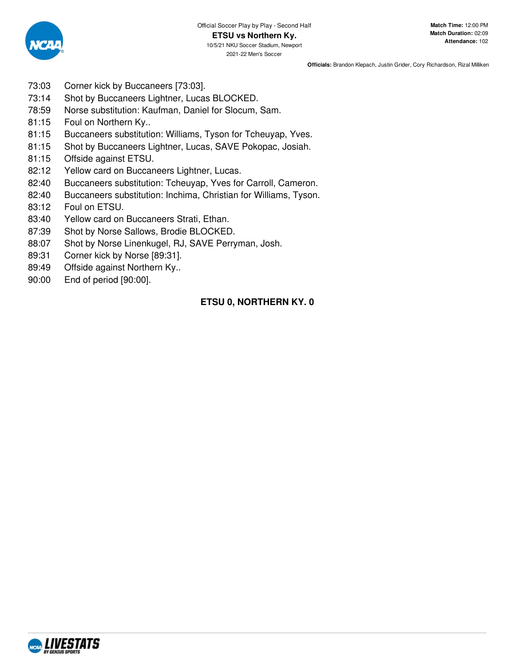

- 73:03 Corner kick by Buccaneers [73:03].
- 73:14 Shot by Buccaneers Lightner, Lucas BLOCKED.
- 78:59 Norse substitution: Kaufman, Daniel for Slocum, Sam.
- 81:15 Foul on Northern Ky..
- 81:15 Buccaneers substitution: Williams, Tyson for Tcheuyap, Yves.
- 81:15 Shot by Buccaneers Lightner, Lucas, SAVE Pokopac, Josiah.
- 81:15 Offside against ETSU.
- 82:12 Yellow card on Buccaneers Lightner, Lucas.
- 82:40 Buccaneers substitution: Tcheuyap, Yves for Carroll, Cameron.
- 82:40 Buccaneers substitution: Inchima, Christian for Williams, Tyson.
- 83:12 Foul on ETSU.
- 83:40 Yellow card on Buccaneers Strati, Ethan.
- 87:39 Shot by Norse Sallows, Brodie BLOCKED.
- 88:07 Shot by Norse Linenkugel, RJ, SAVE Perryman, Josh.
- 89:31 Corner kick by Norse [89:31].
- 89:49 Offside against Northern Ky..
- 90:00 End of period [90:00].

# **ETSU 0, NORTHERN KY. 0**

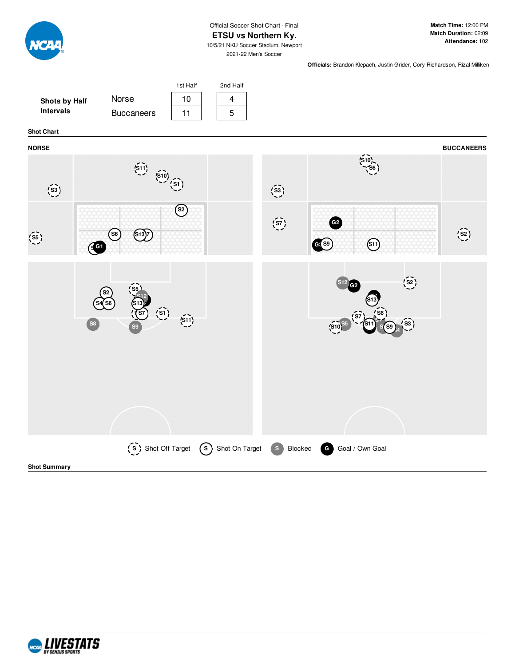

## Official Soccer Shot Chart - Final

#### **ETSU vs Northern Ky.**

**Match Time:** 12:00 PM **Match Duration:** 02:09 **Attendance:** 102

10/5/21 NKU Soccer Stadium, Newport 2021-22 Men's Soccer

**Officials:** Brandon Klepach, Justin Grider, Cory Richardson, Rizal Milliken